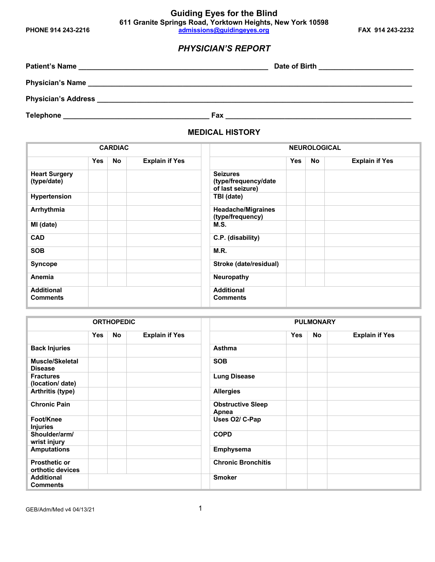## *PHYSICIAN'S REPORT*

| <b>Patient's Name</b><br><u> 1989 - Jan James James Barnett, amerikan basar dan berasal dari personal dan berasal dari berasal dalam berasa</u> | Date of Birth |
|-------------------------------------------------------------------------------------------------------------------------------------------------|---------------|
| <b>Physician's Name</b>                                                                                                                         |               |
| <b>Physician's Address</b>                                                                                                                      |               |
| <b>Telephone</b>                                                                                                                                | Fax           |

**MEDICAL HISTORY**

| <b>CARDIAC</b>                       |            |    | <b>NEUROLOGICAL</b>   |                                                             |            |           |                       |
|--------------------------------------|------------|----|-----------------------|-------------------------------------------------------------|------------|-----------|-----------------------|
|                                      | <b>Yes</b> | No | <b>Explain if Yes</b> |                                                             | <b>Yes</b> | <b>No</b> | <b>Explain if Yes</b> |
| <b>Heart Surgery</b><br>(type/date)  |            |    |                       | <b>Seizures</b><br>(type/frequency/date<br>of last seizure) |            |           |                       |
| Hypertension                         |            |    |                       | TBI (date)                                                  |            |           |                       |
| Arrhythmia                           |            |    |                       | <b>Headache/Migraines</b><br>(type/frequency)               |            |           |                       |
| MI (date)                            |            |    |                       | M.S.                                                        |            |           |                       |
| <b>CAD</b>                           |            |    |                       | C.P. (disability)                                           |            |           |                       |
| <b>SOB</b>                           |            |    |                       | M.R.                                                        |            |           |                       |
| <b>Syncope</b>                       |            |    |                       | Stroke (date/residual)                                      |            |           |                       |
| Anemia                               |            |    |                       | <b>Neuropathy</b>                                           |            |           |                       |
| <b>Additional</b><br><b>Comments</b> |            |    |                       | <b>Additional</b><br><b>Comments</b>                        |            |           |                       |

| <b>ORTHOPEDIC</b>                        |     |     |                       | <b>PULMONARY</b>                  |            |    |                       |
|------------------------------------------|-----|-----|-----------------------|-----------------------------------|------------|----|-----------------------|
|                                          | Yes | No. | <b>Explain if Yes</b> |                                   | <b>Yes</b> | No | <b>Explain if Yes</b> |
| <b>Back Injuries</b>                     |     |     |                       | <b>Asthma</b>                     |            |    |                       |
| <b>Muscle/Skeletal</b><br><b>Disease</b> |     |     |                       | <b>SOB</b>                        |            |    |                       |
| <b>Fractures</b><br>(location/ date)     |     |     |                       | <b>Lung Disease</b>               |            |    |                       |
| Arthritis (type)                         |     |     |                       | <b>Allergies</b>                  |            |    |                       |
| <b>Chronic Pain</b>                      |     |     |                       | <b>Obstructive Sleep</b><br>Apnea |            |    |                       |
| Foot/Knee<br><b>Injuries</b>             |     |     |                       | Uses O2/ C-Pap                    |            |    |                       |
| Shoulder/arm/<br>wrist injury            |     |     |                       | <b>COPD</b>                       |            |    |                       |
| <b>Amputations</b>                       |     |     |                       | Emphysema                         |            |    |                       |
| <b>Prosthetic or</b><br>orthotic devices |     |     |                       | <b>Chronic Bronchitis</b>         |            |    |                       |
| <b>Additional</b><br><b>Comments</b>     |     |     |                       | <b>Smoker</b>                     |            |    |                       |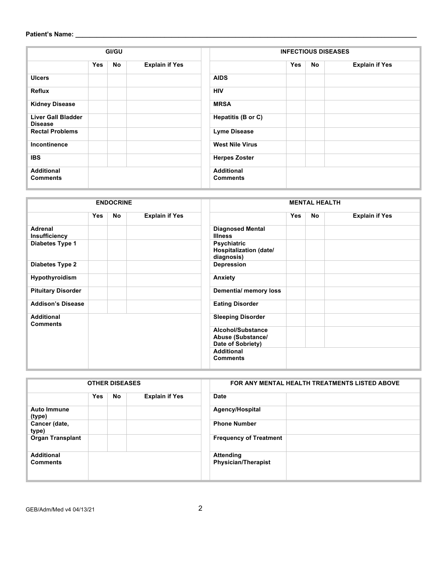### **Patient's Name: \_\_\_\_\_\_\_\_\_\_\_\_\_\_\_\_\_\_\_\_\_\_\_\_\_\_\_\_\_\_\_\_\_\_\_\_\_\_\_\_\_\_\_\_\_\_\_\_\_\_\_\_\_\_\_\_\_\_\_\_\_\_\_\_\_\_\_\_\_\_\_\_\_\_\_\_\_\_\_\_\_\_\_\_\_\_\_\_\_\_\_\_\_\_\_\_**

| GI/GU                                |     |    |                       |  | <b>INFECTIOUS DISEASES</b>           |            |           |                       |  |
|--------------------------------------|-----|----|-----------------------|--|--------------------------------------|------------|-----------|-----------------------|--|
|                                      | Yes | No | <b>Explain if Yes</b> |  |                                      | <b>Yes</b> | <b>No</b> | <b>Explain if Yes</b> |  |
| <b>Ulcers</b>                        |     |    |                       |  | <b>AIDS</b>                          |            |           |                       |  |
| Reflux                               |     |    |                       |  | <b>HIV</b>                           |            |           |                       |  |
| <b>Kidney Disease</b>                |     |    |                       |  | <b>MRSA</b>                          |            |           |                       |  |
| Liver Gall Bladder<br><b>Disease</b> |     |    |                       |  | Hepatitis (B or C)                   |            |           |                       |  |
| <b>Rectal Problems</b>               |     |    |                       |  | <b>Lyme Disease</b>                  |            |           |                       |  |
| Incontinence                         |     |    |                       |  | <b>West Nile Virus</b>               |            |           |                       |  |
| <b>IBS</b>                           |     |    |                       |  | <b>Herpes Zoster</b>                 |            |           |                       |  |
| <b>Additional</b><br><b>Comments</b> |     |    |                       |  | <b>Additional</b><br><b>Comments</b> |            |           |                       |  |

| <b>ENDOCRINE</b>                       |            |    |                       | <b>MENTAL HEALTH</b>                                        |            |     |                       |
|----------------------------------------|------------|----|-----------------------|-------------------------------------------------------------|------------|-----|-----------------------|
|                                        | <b>Yes</b> | No | <b>Explain if Yes</b> |                                                             | <b>Yes</b> | No. | <b>Explain if Yes</b> |
| <b>Adrenal</b><br><b>Insufficiency</b> |            |    |                       | <b>Diagnosed Mental</b><br><b>Illness</b>                   |            |     |                       |
| Diabetes Type 1                        |            |    |                       | Psychiatric<br>Hospitalization (date/<br>diagnosis)         |            |     |                       |
| <b>Diabetes Type 2</b>                 |            |    |                       | Depression                                                  |            |     |                       |
| Hypothyroidism                         |            |    |                       | Anxiety                                                     |            |     |                       |
| <b>Pituitary Disorder</b>              |            |    |                       | <b>Dementia/ memory loss</b>                                |            |     |                       |
| <b>Addison's Disease</b>               |            |    |                       | <b>Eating Disorder</b>                                      |            |     |                       |
| <b>Additional</b><br><b>Comments</b>   |            |    |                       | <b>Sleeping Disorder</b>                                    |            |     |                       |
|                                        |            |    |                       | Alcohol/Substance<br>Abuse (Substance/<br>Date of Sobriety) |            |     |                       |
|                                        |            |    |                       | <b>Additional</b><br><b>Comments</b>                        |            |     |                       |

| <b>OTHER DISEASES</b>                |            |    |                       | FOR ANY MENTAL HEALTH TREATMENTS LISTED ABOVE  |  |  |
|--------------------------------------|------------|----|-----------------------|------------------------------------------------|--|--|
|                                      | <b>Yes</b> | No | <b>Explain if Yes</b> | <b>Date</b>                                    |  |  |
| <b>Auto Immune</b><br>(type)         |            |    |                       | Agency/Hospital                                |  |  |
| Cancer (date,<br>type)               |            |    |                       | <b>Phone Number</b>                            |  |  |
| <b>Organ Transplant</b>              |            |    |                       | <b>Frequency of Treatment</b>                  |  |  |
| <b>Additional</b><br><b>Comments</b> |            |    |                       | <b>Attending</b><br><b>Physician/Therapist</b> |  |  |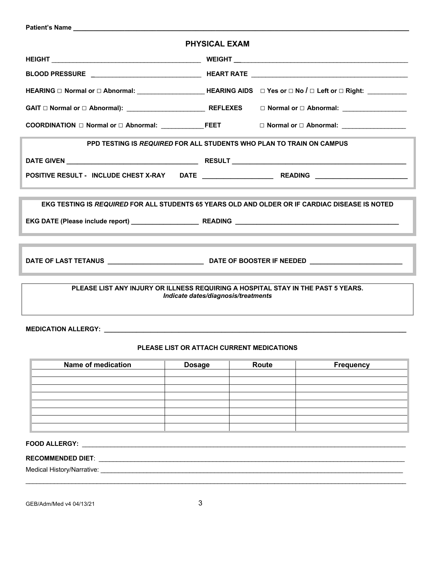| <b>Patient's Name Example 2018</b>                                                                                      |                      |  |  |  |  |  |  |
|-------------------------------------------------------------------------------------------------------------------------|----------------------|--|--|--|--|--|--|
|                                                                                                                         | <b>PHYSICAL EXAM</b> |  |  |  |  |  |  |
|                                                                                                                         |                      |  |  |  |  |  |  |
|                                                                                                                         |                      |  |  |  |  |  |  |
| HEARING □ Normal or □ Abnormal: _____________________HEARING AIDS □ Yes or □ No / □ Left or □ Right: __________         |                      |  |  |  |  |  |  |
|                                                                                                                         |                      |  |  |  |  |  |  |
|                                                                                                                         |                      |  |  |  |  |  |  |
| PPD TESTING IS REQUIRED FOR ALL STUDENTS WHO PLAN TO TRAIN ON CAMPUS                                                    |                      |  |  |  |  |  |  |
|                                                                                                                         |                      |  |  |  |  |  |  |
|                                                                                                                         |                      |  |  |  |  |  |  |
|                                                                                                                         |                      |  |  |  |  |  |  |
| EKG TESTING IS REQUIRED FOR ALL STUDENTS 65 YEARS OLD AND OLDER OR IF CARDIAC DISEASE IS NOTED                          |                      |  |  |  |  |  |  |
|                                                                                                                         |                      |  |  |  |  |  |  |
|                                                                                                                         |                      |  |  |  |  |  |  |
|                                                                                                                         |                      |  |  |  |  |  |  |
|                                                                                                                         |                      |  |  |  |  |  |  |
| PLEASE LIST ANY INJURY OR ILLNESS REQUIRING A HOSPITAL STAY IN THE PAST 5 YEARS.<br>Indicate dates/diagnosis/treatments |                      |  |  |  |  |  |  |
|                                                                                                                         |                      |  |  |  |  |  |  |
|                                                                                                                         |                      |  |  |  |  |  |  |
| PLEASE LIST OR ATTACH CURRENT MEDICATIONS                                                                               |                      |  |  |  |  |  |  |

| <b>Name of medication</b> | <b>Dosage</b> | Route | <b>Frequency</b> |
|---------------------------|---------------|-------|------------------|
|                           |               |       |                  |
|                           |               |       |                  |
|                           |               |       |                  |
|                           |               |       |                  |
|                           |               |       |                  |
|                           |               |       |                  |
|                           |               |       |                  |
|                           |               |       |                  |

\_\_\_\_\_\_\_\_\_\_\_\_\_\_\_\_\_\_\_\_\_\_\_\_\_\_\_\_\_\_\_\_\_\_\_\_\_\_\_\_\_\_\_\_\_\_\_\_\_\_\_\_\_\_\_\_\_\_\_\_\_\_\_\_\_\_\_\_\_\_\_\_\_\_\_\_\_\_\_\_\_\_\_\_\_\_\_\_\_\_\_\_\_\_\_\_\_\_\_\_\_\_\_\_\_\_\_

## **FOOD ALLERGY:** \_\_\_\_\_\_\_\_\_\_\_\_\_\_\_\_\_\_\_\_\_\_\_\_\_\_\_\_\_\_\_\_\_\_\_\_\_\_\_\_\_\_\_\_\_\_\_\_\_\_\_\_\_\_\_\_\_\_\_\_\_\_\_\_\_\_\_\_\_\_\_\_\_\_\_\_\_\_\_\_\_\_\_\_\_\_\_\_\_\_\_

# **RECOMMENDED DIET**: \_\_\_\_\_\_\_\_\_\_\_\_\_\_\_\_\_\_\_\_\_\_\_\_\_\_\_\_\_\_\_\_\_\_\_\_\_\_\_\_\_\_\_\_\_\_\_\_\_\_\_\_\_\_\_\_\_\_\_\_\_\_\_\_\_\_\_\_\_\_\_\_\_\_\_\_\_\_\_\_\_\_\_\_\_\_

Medical History/Narrative: \_\_\_\_\_\_\_\_\_\_\_\_\_\_\_\_\_\_\_\_\_\_\_\_\_\_\_\_\_\_\_\_\_\_\_\_\_\_\_\_\_\_\_\_\_\_\_\_\_\_\_\_\_\_\_\_\_\_\_\_\_\_\_\_\_\_\_\_\_\_\_\_\_\_\_\_\_\_\_\_\_\_\_\_\_

GEB/Adm/Med v4 04/13/21 3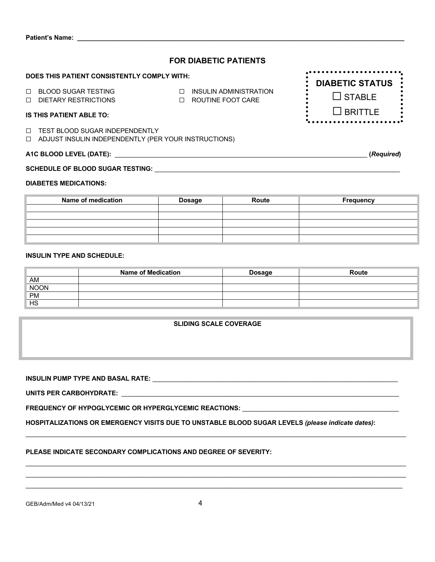| <b>FOR DIABETIC PATIENTS</b>                                                                       |                                                                 |                        |  |  |  |  |  |
|----------------------------------------------------------------------------------------------------|-----------------------------------------------------------------|------------------------|--|--|--|--|--|
| DOES THIS PATIENT CONSISTENTLY COMPLY WITH:                                                        |                                                                 | <b>DIABETIC STATUS</b> |  |  |  |  |  |
| $\Box$<br><b>BLOOD SUGAR TESTING</b><br>$\Box$ DIETARY RESTRICTIONS                                | INSULIN ADMINISTRATION<br>$\Box$<br>ROUTINE FOOT CARE<br>$\Box$ | $\Box$ STABLE          |  |  |  |  |  |
| <b>IS THIS PATIENT ABLE TO:</b>                                                                    |                                                                 | $\Box$ BRITTLE         |  |  |  |  |  |
| $\Box$<br>TEST BLOOD SUGAR INDEPENDENTLY<br>□ ADJUST INSULIN INDEPENDENTLY (PER YOUR INSTRUCTIONS) |                                                                 |                        |  |  |  |  |  |
| A1C BLOOD LEVEL (DATE):<br>(Required)                                                              |                                                                 |                        |  |  |  |  |  |
| <b>SCHEDULE OF BLOOD SUGAR TESTING:</b>                                                            |                                                                 |                        |  |  |  |  |  |
| <b>DIABETES MEDICATIONS:</b>                                                                       |                                                                 |                        |  |  |  |  |  |

| Name of medication | <b>Dosage</b> | Route | <b>Frequency</b> |  |  |
|--------------------|---------------|-------|------------------|--|--|
|                    |               |       |                  |  |  |
|                    |               |       |                  |  |  |
|                    |               |       |                  |  |  |
|                    |               |       |                  |  |  |
|                    |               |       |                  |  |  |

#### **INSULIN TYPE AND SCHEDULE:**

Patient's Name: \_\_

|            | <b>Name of Medication</b> | <b>Dosage</b> | Route |
|------------|---------------------------|---------------|-------|
| AM         |                           |               |       |
| NOON<br>PM |                           |               |       |
|            |                           |               |       |
| HS         |                           |               |       |

**SLIDING SCALE COVERAGE**

**INSULIN PUMP TYPE AND BASAL RATE:** \_\_\_\_\_\_\_\_\_\_\_\_\_\_\_\_\_\_\_\_\_\_\_\_\_\_\_\_\_\_\_\_\_\_\_\_\_\_\_\_\_\_\_\_\_\_\_\_\_\_\_\_\_\_\_\_\_\_\_\_\_\_\_\_\_\_\_\_\_

**UNITS PER CARBOHYDRATE:** \_\_\_\_\_\_\_\_\_\_\_\_\_\_\_\_\_\_\_\_\_\_\_\_\_\_\_\_\_\_\_\_\_\_\_\_\_\_\_\_\_\_\_\_\_\_\_\_\_\_\_\_\_\_\_\_\_\_\_\_\_\_\_\_\_\_\_\_\_\_\_\_\_\_\_\_\_\_

FREQUENCY OF HYPOGLYCEMIC OR HYPERGLYCEMIC REACTIONS: **\_\_\_\_\_\_\_\_\_\_\_\_\_\_\_\_\_\_\_\_\_\_\_\_\_** 

**HOSPITALIZATIONS OR EMERGENCY VISITS DUE TO UNSTABLE BLOOD SUGAR LEVELS** *(please indicate dates)***:** 

 $\mathcal{L}_\mathcal{L} = \{ \mathcal{L}_\mathcal{L} = \{ \mathcal{L}_\mathcal{L} = \{ \mathcal{L}_\mathcal{L} = \{ \mathcal{L}_\mathcal{L} = \{ \mathcal{L}_\mathcal{L} = \{ \mathcal{L}_\mathcal{L} = \{ \mathcal{L}_\mathcal{L} = \{ \mathcal{L}_\mathcal{L} = \{ \mathcal{L}_\mathcal{L} = \{ \mathcal{L}_\mathcal{L} = \{ \mathcal{L}_\mathcal{L} = \{ \mathcal{L}_\mathcal{L} = \{ \mathcal{L}_\mathcal{L} = \{ \mathcal{L}_\mathcal{$ 

\_\_\_\_\_\_\_\_\_\_\_\_\_\_\_\_\_\_\_\_\_\_\_\_\_\_\_\_\_\_\_\_\_\_\_\_\_\_\_\_\_\_\_\_\_\_\_\_\_\_\_\_\_\_\_\_\_\_\_\_\_\_\_\_\_\_\_\_\_\_\_\_\_\_\_\_\_\_\_\_\_\_\_\_\_\_\_\_\_\_\_\_\_\_\_\_\_\_\_\_\_\_\_\_\_\_\_  $\mathcal{L}_\mathcal{L} = \{ \mathcal{L}_\mathcal{L} = \{ \mathcal{L}_\mathcal{L} = \{ \mathcal{L}_\mathcal{L} = \{ \mathcal{L}_\mathcal{L} = \{ \mathcal{L}_\mathcal{L} = \{ \mathcal{L}_\mathcal{L} = \{ \mathcal{L}_\mathcal{L} = \{ \mathcal{L}_\mathcal{L} = \{ \mathcal{L}_\mathcal{L} = \{ \mathcal{L}_\mathcal{L} = \{ \mathcal{L}_\mathcal{L} = \{ \mathcal{L}_\mathcal{L} = \{ \mathcal{L}_\mathcal{L} = \{ \mathcal{L}_\mathcal{$  $\mathcal{L}_\mathcal{L} = \{ \mathcal{L}_\mathcal{L} = \{ \mathcal{L}_\mathcal{L} = \{ \mathcal{L}_\mathcal{L} = \{ \mathcal{L}_\mathcal{L} = \{ \mathcal{L}_\mathcal{L} = \{ \mathcal{L}_\mathcal{L} = \{ \mathcal{L}_\mathcal{L} = \{ \mathcal{L}_\mathcal{L} = \{ \mathcal{L}_\mathcal{L} = \{ \mathcal{L}_\mathcal{L} = \{ \mathcal{L}_\mathcal{L} = \{ \mathcal{L}_\mathcal{L} = \{ \mathcal{L}_\mathcal{L} = \{ \mathcal{L}_\mathcal{$ 

#### **PLEASE INDICATE SECONDARY COMPLICATIONS AND DEGREE OF SEVERITY:**

GEB/Adm/Med v4 04/13/21 4